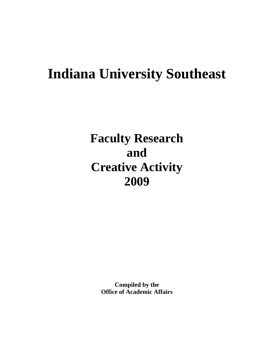# **Indiana University Southeast**

**Faculty Research and Creative Activity 2009**

> **Compiled by the Office of Academic Affairs**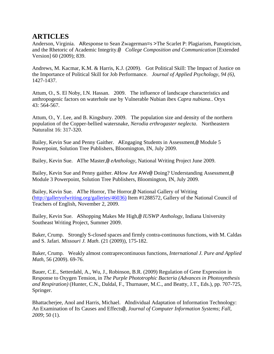# **ARTICLES**

Anderson, Virginia. AResponse to Sean Zwagerman=s >The Scarlet P: Plagiarism, Panopticism, and the Rhetoric of Academic Integrity.@ *College Composition and Communication* [Extended Version] 60 (2009); 839.

Andrews, M. Kacmar, K.M. & Harris, K.J. (2009). Got Political Skill: The Impact of Justice on the Importance of Political Skill for Job Performance. *Journal of Applied Psychology, 94 (6)*, 1427-1437.

Attum, O., S. El Noby, I.N. Hassan. 2009. The influence of landscape characteristics and anthropogenic factors on waterhole use by Vulnerable Nubian ibex *Capra nubiana.*. Oryx 43: 564-567.

Attum, O., Y. Lee, and B. Kingsbury. 2009. The population size and density of the northern population of the Copper-bellied watersnake, *Nerodia erthrogaster neglecta*. Northeastern Naturalist 16: 317-320.

Bailey, Kevin Sue and Penny Gaither. AEngaging Students in Assessment,@ Module 5 Powerpoint, Solution Tree Publishers, Bloomington, IN, July 2009.

Bailey, Kevin Sue. AThe Master,@ *eAnthology*, National Writing Project June 2009.

Bailey, Kevin Sue and Penny gaither. AHow Are AWe@ Doing? Understanding Assessment,@ Module 3 Powerpoint, Solution Tree Publishers, Bloomington, IN, July 2009.

Bailey, Kevin Sue. AThe Horror, The Horror,@ National Gallery of Writing (http://galleryofwriting.org/galleries/46036) Item #1288572, Gallery of the National Council of Teachers of English, November 2, 2009.

Bailey, Kevin Sue. AShopping Makes Me High,@ *IUSWP Anthology*, Indiana University Southeast Writing Project, Summer 2009.

Baker, Crump. Strongly S-closed spaces and firmly contra-continuous functions, with M. Caldas and S. Jafari. *Missouri J. Math*. (21 (2009)), 175-182.

Baker, Crump. Weakly almost contraprecontinuous functions, *International J. Pure and Applied Math*, 56 (2009). 69-76.

Bauer, C.E., Setterdahl, A., Wu, J., Robinson, B.R. (2009) Regulation of Gene Expression in Response to Oxygen Tension, in *The Purple Phototrophic Bacteria (Advances in Photosynthesis and Respiration)* (Hunter, C.N., Daldal, F., Thurnauer, M.C., and Beatty, J.T., Eds.), pp. 707-725, Springer.

Bhattacherjee, Anol and Harris, Michael. AIndividual Adaptation of Information Technology: An Examination of Its Causes and Effects@, *Journal of Computer Information Systems*; *Fall, 2009*; 50 (1).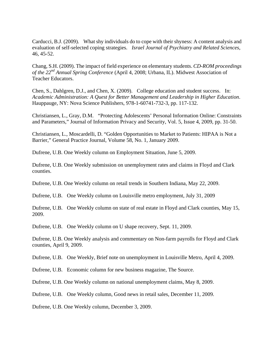Carducci, B.J. (2009). What shy individuals do to cope with their shyness: A content analysis and evaluation of self-selected coping strategies. *Israel Journal of Psychiatry and Related Sciences*, 46, 45-52.

Chang, S.H. (2009). The impact of field experience on elementary students. *CD-ROM proceedings of the 22nd Annual Spring Conference* (April 4, 2008; Urbana, IL). Midwest Association of Teacher Educators.

Chen, S., Dahlgren, D.J., and Chen, X. (2009). College education and student success. In: *Academic Administration: A Quest for Better Management and Leadership in Higher Education*. Hauppauge, NY: Nova Science Publishers, 978-1-60741-732-3, pp. 117-132.

Christiansen, L., Gray, D.M. "Protecting Adolescents' Personal Information Online: Constraints and Parameters," Journal of Information Privacy and Security, Vol. 5, Issue 4, 2009, pp. 31-50.

Christiansen, L., Moscardelli, D. "Golden Opportunities to Market to Patients: HIPAA is Not a Barrier," General Practice Journal, Volume 58, No. 1, January 2009.

Dufrene, U.B. One Weekly column on Employment Situation, June 5, 2009.

Dufrene, U.B. One Weekly submission on unemployment rates and claims in Floyd and Clark counties.

Dufrene, U.B. One Weekly column on retail trends in Southern Indiana, May 22, 2009.

Dufrene, U.B. One Weekly column on Louisville metro employment, July 31, 2009

Dufrene, U.B. One Weekly column on state of real estate in Floyd and Clark counties, May 15, 2009.

Dufrene, U.B. One Weekly column on U shape recovery, Sept. 11, 2009.

Dufrene, U.B. One Weekly analysis and commentary on Non-farm payrolls for Floyd and Clark counties, April 9, 2009.

Dufrene, U.B. One Weekly, Brief note on unemployment in Louisville Metro, April 4, 2009.

Dufrene, U.B. Economic column for new business magazine, The Source.

Dufrene, U.B. One Weekly column on national unemployment claims, May 8, 2009.

Dufrene, U.B. One Weekly column, Good news in retail sales, December 11, 2009.

Dufrene, U.B. One Weekly column, December 3, 2009.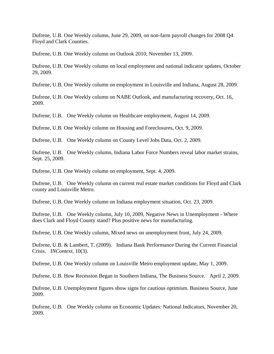Dufrene, U.B. One Weekly column, June 29, 2009, on non-farm payroll changes for 2008 Q4 Floyd and Clark Counties.

Dufrene, U.B. One Weekly column on Outlook 2010, November 13, 2009.

Dufrene, U.B. One Weekly column on local employment and national indicator updates, October 29, 2009.

Dufrene, U.B. One Weekly column on employment in Louisville and Indiana, August 28, 2009.

Dufrene, U.B. One Weekly column on NABE Outlook, and manufacturing recovery, Oct. 16, 2009.

Dufrene, U.B. One Weekly column on Healthcare employment, August 14, 2009.

Dufrene, U.B. One Weekly column on Housing and Foreclosures, Oct. 9, 2009.

Dufrene, U.B. One Weekly column on County Level Jobs Data, Oct. 2, 2009.

Dufrene, U.B. One Weekly column, Indiana Labor Force Numbers reveal labor market strains, Sept. 25, 2009.

Dufrene, U.B. One Weekly column on employment, Sept. 4, 2009.

Dufrene, U.B. One Weekly column on current real estate market conditions for Floyd and Clark county and Louisville Metro.

Dufrene, U.B. One Weekly column on Indiana employment situation, Oct. 23, 2009.

Dufrene, U.B. One Weekly column, July 10, 2009, Negative News in Unemployment - Where does Clark and Floyd County stand? Plus positive news for manufacturing.

Dufrene, U.B. One Weekly column, Mixed news on unemployment front, July 24, 2009.

Dufrene, U.B. & Lambert, T. (2009). Indiana Bank Performance During the Current Financial Crisis. *INContext*, 10(3).

Dufrene, U.B. One Weekly column on Louisville Metro employment update, May 1, 2009.

Dufrene, U.B. How Recession Began in Southern Indiana, The Business Source. April 2, 2009.

Dufrene, U.B. Unemployment figures show signs for cautious optimism. Business Source, June 2009.

Dufrene, U.B. One Weekly column on Economic Updates: National Indicators, November 20, 2009.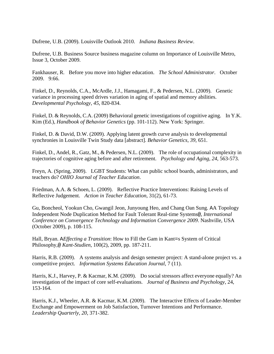Dufrene, U.B. (2009). Louisville Outlook 2010. *Indiana Business Review*.

Dufrene, U.B. Business Source business magazine column on Importance of Louisville Metro, Issue 3, October 2009.

Fankhauser, R. Before you move into higher education. *The School Administrator*. October 2009. 9:66.

Finkel, D., Reynolds, C.A., McArdle, J.J., Hamagami, F., & Pedersen, N.L. (2009). Genetic variance in processing speed drives variation in aging of spatial and memory abilities. *Developmental Psychology, 45*, 820-834.

Finkel, D. & Reynolds, C.A. (2009) Behavioral genetic investigations of cognitive aging. In Y.K. Kim (Ed.), *Handbook of Behavior Genetics* (pp. 101-112). New York: Springer.

Finkel, D. & David, D.W. (2009). Applying latent growth curve analysis to developmental synchronies in Louisville Twin Study data [abstract]. *Behavior Genetics, 39*, 651.

Finkel, D., Andel, R., Gatz, M., & Pedersen, N.L. (2009). The role of occupational complexity in trajectories of cognitive aging before and after retirement. *Psychology and Aging, 24*, 563-573.

Freyn, A. (Spring, 2009). LGBT Students: What can public school boards, administrators, and teachers do? *OHIO Journal of Teacher Education*.

Friedman, A.A. & Schoen, L. (2009). Reflective Practice Interventions: Raising Levels of Reflective Judgement. *Action in Teacher Education*, 31(2), 61-73.

Gu, Boncheol, Yookun Cho, Gwangil Jeon, Junyoung Heo, and Chang Oan Sung. AA Topology Independent Node Duplication Method for Fault Tolerant Real-time Systems@, *International Conference on Convergence Technology and Information Convergence 2009*. Nashville, USA (October 2009), p. 108-115.

Hall, Bryan. A*Effecting a Transition*: How to Fill the Gam in Kant=s System of Critical Philosophy,@ *Kant-Studien*, 100(2), 2009, pp. 187-211.

Harris, R.B. (2009). A systems analysis and design semester project: A stand-alone project vs. a competitive project. *Information Systems Education Journal*, 7 (11).

Harris, K.J., Harvey, P. & Kacmar, K.M. (2009). Do social stressors affect everyone equally? An investigation of the impact of core self-evaluations. *Journal of Business and Psychology*, 24, 153-164.

Harris, K.J., Wheeler, A.R. & Kacmar, K.M. (2009). The Interactive Effects of Leader-Member Exchange and Empowerment on Job Satisfaction, Turnover Intentions and Performance. *Leadership Quarterly, 20*, 371-382.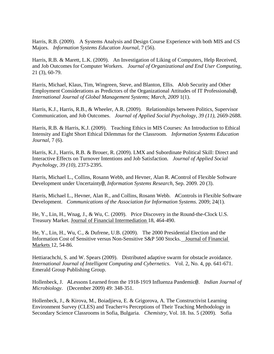Harris, R.B. (2009). A Systems Analysis and Design Course Experience with both MIS and CS Majors. *Information Systems Education Journal*, 7 (56).

Harris, R.B. & Marett, L.K. (2009). An Investigation of Liking of Computers, Help Received, and Job Outcomes for Computer Workers. *Journal of Organizational and End User Computing*, 21 (3), 60-79.

Harris, Michael, Klaus, Tim, Wingreen, Steve, and Blanton, Ellis. AJob Security and Other Employment Considerations as Predictors of the Organizational Attitudes of IT Professionals@, *International Journal of Global Management Systems*; *March, 2009* 1(1).

Harris, K.J., Harris, R.B., & Wheeler, A.R. (2009). Relationships between Politics, Supervisor Communication, and Job Outcomes. *Journal of Applied Social Psychology, 39 (11),* 2669-2688.

Harris, R.B. & Harris, K.J. (2009). Teaching Ethics in MIS Courses: An Introduction to Ethical Intensity and Eight Short Ethical Dilemmas for the Classroom. *Information Systems Education Journal*, 7 (6).

Harris, K.J., Harris, R.B. & Brouer, R. (2009). LMX and Subordinate Political Skill: Direct and Interactive Effects on Turnover Intentions and Job Satisfaction*. Journal of Applied Social Psychology, 39 (10)*, 2373-2395.

Harris, Michael L., Collins, Rosann Webb, and Hevner, Alan R. AControl of Flexible Software Development under Uncertainty@, *Information Systems Research*, Sep. 2009. 20 (3).

Harris, Michael L., Hevner, Alan R., and Collins, Rosann Webb. AControls in Flexible Software Development. *Communications of the Association for Information Systems*. 2009; 24(1).

He, Y., Lin, H., Wnag, J., & Wu, C. (2009). Price Discovery in the Round-the-Clock U.S. Treasury Market. Journal of Financial Intermediation 18, 464-490.

He, Y., Lin, H., Wu, C., & Dufrene, U.B. (2009). The 2000 Presidential Election and the Information Cost of Sensitive versus Non-Sensitive S&P 500 Stocks. Journal of Financial Markets 12, 54-86.

Hettiarachchi, S. and W. Spears (2009). Distributed adaptive swarm for obstacle avoidance. *International Journal of Intelligent Computing and Cybernetics*. Vol. 2, No. 4, pp. 641-671. Emerald Group Publishing Group.

Hollenbeck, J. ALessons Learned from the 1918-1919 Influenza Pandemic@. *Indian Journal of Microbiology*. (December 2009) 49: 348-351.

Hollenbeck, J., & Kirova, M., Boiadjieva, E. & Grigorova, A. The Constructivist Learning Environment Survey (CLES) and Teacher=s Perceptions of Their Teaching Methodology in Secondary Science Classrooms in Sofia, Bulgaria. *Chemistry*, Vol. 18. Iss. 5 (2009). Sofia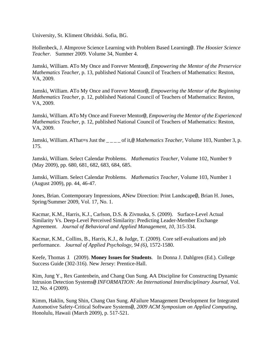University, St. Kliment Ohridski. Sofia, BG.

Hollenbeck, J. AImprove Science Learning with Problem Based Learning@. *The Hoosier Science Teacher.* Summer 2009. Volume 34, Number 4.

Jamski, William. ATo My Once and Forever Mentor@, *Empowering the Mentor of the Preservice Mathematics Teacher*, p. 13, published National Council of Teachers of Mathematics: Reston, VA, 2009.

Jamski, William. ATo My Once and Forever Mentor@, *Empowering the Mentor of the Beginning Mathematics Teacher*, p. 12, published National Council of Teachers of Mathematics: Reston, VA, 2009.

Jamski, William. ATo My Once and Forever Mentor@, *Empowering the Mentor of the Experienced Mathematics Teacher*, p. 12, published National Council of Teachers of Mathematics: Reston, VA, 2009.

Jamski, William. AThat=s Just the \_\_\_\_ of it,<sup>@</sup> *Mathematics Teacher*, Volume 103, Number 3, p. 175.

Jamski, William. Select Calendar Problems. *Mathematics Teacher*, Volume 102, Number 9 (May 2009), pp. 680, 681, 682, 683, 684, 685.

Jamski, William. Select Calendar Problems. *Mathematics Teacher*, Volume 103, Number 1 (August 2009), pp. 44, 46-47.

Jones, Brian. Contemporary Impressions, ANew Direction: Print Landscape@, Brian H. Jones, Spring/Summer 2009, Vol. 17, No. 1.

Kacmar, K.M., Harris, K.J., Carlson, D.S. & Zivnuska, S. (2009). Surface-Level Actual Similarity Vs. Deep-Level Perceived Similarity: Predicting Leader-Member Exchange Agreement. *Journal of Behavioral and Applied Management, 10,* 315-334.

Kacmar, K.M., Collins, B., Harris, K.J., & Judge, T. (2009). Core self-evaluations and job performance. *Journal of Applied Psychology, 94 (6)*, 1572-1580.

Keefe, Thomas J. (2009). **Money Issues for Students**. In Donna J. Dahlgren (Ed.). College Success Guide (302-316). New Jersey: Prentice-Hall.

Kim, Jung Y., Rex Gantenbein, and Chang Oan Sung. AA Discipline for Constructing Dynamic Intrusion Detection Systems@ *INFORMATION: An International Interdisciplinary Journal*, Vol. 12, No. 4 (2009).

Kimm, Haklin, Sung Shin, Chang Oan Sung. AFailure Management Development for Integrated Automotive Safety-Critical Software Systems@, *2009 ACM Symposium on Applied Computing*, Honolulu, Hawaii (March 2009), p. 517-521.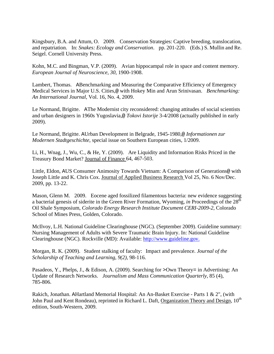Kingsbury, B.A. and Attum, O. 2009. Conservation Strategies: Captive breeding, translocation, and repatriation. In: *Snakes: Ecology and Conservation*. pp. 201-220. (Eds.) S. Mullin and Re. Seigel. Cornell University Press.

Kohn, M.C. and Bingman, V.P. (2009). Avian hippocampal role in space and content memory. *European Journal of Neuroscience, 30*, 1900-1908.

Lambert, Thomas. ABenchmarking and Measuring the Comparative Efficiency of Emergency Medical Services in Major U.S. Cities,@ with Hokey Min and Arun Srinivasan. *Benchmarking: An International Journal*, Vol. 16, No. 4, 2009.

Le Normand, Brigitte. AThe Modernist city reconsidered: changing attitudes of social scientists and urban designers in 1960s Yugoslavia,@ *Tokovi Istorije* 3-4/2008 (actually published in early 2009).

Le Normand, Brigitte. AUrban Development in Belgrade, 1945-1980,@ *Informationen zur Modernen Stadtgeschichte*, special issue on Southern European cities, 1/2009.

Li, H., Wnag, J., Wu, C., & He, Y. (2009). Are Liquidity and Information Risks Priced in the Treasury Bond Market? Journal of Finance 64, 467-503.

Little, Eldon, AUS Consumer Animosity Towards Vietnam: A Comparison of Generations@ with Joseph Little and K. Chris Cox. Journal of Applied Business Research Vol 25, No. 6 Nov/Dec. 2009, pp. 13-22.

Mason, Glenn M. 2009. Eocene aged fossilized filamentous bacteria: new evidence suggesting a bacterial genesis of siderite in the Green River Formation, Wyoming, *in* Proceedings of the 28<sup>th</sup> Oil Shale Symposium, *Colorado Energy Research Institute Document CERI-2009-2*, Colorado School of Mines Press, Golden, Colorado.

McIlvoy, L.H. National Guideline Clearinghouse (NGC). (September 2009). Guideline summary: Nursing Management of Adults with Severe Traumatic Brain Injury. In: National Guideline Clearinghouse (NGC). Rockville (MD): Available: http://www.guideline.gov.

Morgan, R. K. (2009). Student stalking of faculty: Impact and prevalence. *Journal of the Scholarship of Teaching and Learning, 9(2),* 98-116.

Pasadeos, Y., Phelps, J., & Edison, A. (2009). Searching for >Own Theory= in Advertising: An Update of Research Networks. *Journalism and Mass Communication Quarterly*, 85 (4), 785-806.

Rakich, Jonathan. AHartland Memorial Hospital: An An-Basket Exercise - Parts 1 & 2", (with John Paul and Kent Rondeau), reprinted in Richard L. Daft, Organization Theory and Design, 10<sup>th</sup> edition, South-Western, 2009.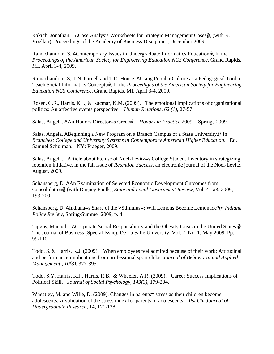Rakich, Jonathan. ACase Analysis Worksheets for Strategic Management Cases@, (with K. Voelker), Proceedings of the Academy of Business Disciplines, December 2009.

Ramachandran, S. AContemporary Issues in Undergraduate Informatics Education@, In the *Proceedings of the American Society for Engineering Education NCS Conference*, Grand Rapids, MI, April 3-4, 2009.

Ramachandran, S, T.N. Parnell and T.D. House. AUsing Popular Culture as a Pedagogical Tool to Teach Social Informatics Concepts@, In the *Proceedigns of the American Society for Engineering Education NCS Conference*, Grand Rapids, MI, April 3-4, 2009.

Rosen, C.R., Harris, K.J., & Kacmar, K.M. (2009). The emotional implications of organizational politics: An affective events perspective*. Human Relations, 62 (1),* 27-57.

Salas, Angela. AAn Honors Director=s Credo@. *Honors in Practice* 2009. Spring, 2009.

Salas, Angela. ABeginning a New Program on a Branch Campus of a State University.@ In *Branches: College and University Systems in Contemporary American Higher Education*. Ed. Samuel Schulman. NY: Praeger, 2009.

Salas, Angela. Article about hte use of Noel-Levitz=s College Student Inventory in strategizing retention initiative, in the fall issue of *Retention Success*, an electronic journal of the Noel-Levitz. August, 2009.

Schansberg, D. AAn Examination of Selected Economic Development Outcomes from Consolidation@ (with Dagney Faulk), *State and Local Government Review*, Vol. 41 #3, 2009; 193-200.

Schansberg, D. AIndiana=s Share of the >Stimulus=: Will Lemons Become Lemonade?@, *Indiana Policy Review*, Spring/Summer 2009, p. 4.

Tipgos, Manuel. ACorporate Social Responsibility and the Obesity Crisis in the United States.@ The Journal of Business (Special Issue). De La Salle University. Vol. 7, No. 1. May 2009. Pp. 99-110.

Todd, S. & Harris, K.J. (2009). When employees feel admired because of their work: Attitudinal and performance implications from professional sport clubs. *Journal of Behavioral and Applied Management,, 10(3)*, 377-395.

Todd, S.Y, Harris, K.J., Harris, R.B., & Wheeler, A.R. (2009). Career Success Implications of Political Skill. *Journal of Social Psychology, 149(3)*, 179-204.

Wheatley, M. and Wille, D. (2009). Changes in parents= stress as their children become adolescents: A validation of the stress index for parents of adolescents. *Psi Chi Journal of Undergraduate Research*, 14, 121-128.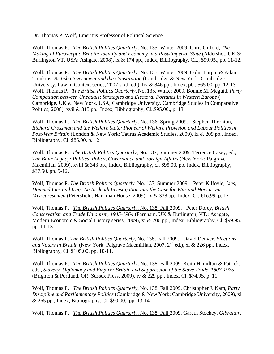Dr. Thomas P. Wolf, Emeritus Professor of Political Science

Wolf, Thomas P. *The British Politics Quarterly*, No. 135, Winter 2009, Chris Gifford, *The Making of Eurosceptic Britain: Identity and Economy in a Post-Imperial State* (Aldershot, UK & Burlington VT, USA: Ashgate, 2008), ix & 174 pp., Index, Bibliography, Cl.., \$99.95., pp. 11-12.

Wolf, Thomas P. *The British Politics Quarterly*, No. 135, Winter 2009. Colin Turpin & Adam Tomkins, *British Government and the Constitution* (Cambridge & New York: Cambridge University, Law in Context series, 2007 sixth ed.), liv & 846 pp., Index, pb., \$65.00. pp. 12-13. Wolf, Thomas P. *The British Politics Quarterly*, No. 135, Winter 2009. Bonnie M. Meguid, *Party Competition between Unequals*: *Strategies and Electoral Fortunes in Western Europe* ( Cambridge, UK & New York, USA, Cambridge University, Cambridge Studies in Comparative Politics, 2008), xvii & 315 pp., Index, Bibliography, Cl.,\$95.00., p. 13.

Wolf, Thomas P. *The British Politics Quarterly*, No. 136, Spring 2009. Stephen Thornton, *Richard Crossman and the Welfare State: Pioneer of Welfare Provision and Labour Politics in Post-War Britain* (London & New York; Taurus Academic Studies, 2009), ix & 209 pp., Index, Bibliography, Cl. \$85.00. p. 12

Wolf, Thomas P. *The British Politics Quarterly*, No. 137, Summer 2009. Terrence Casey, ed., *The Blair Legacy: Politics, Policy, Governance and Foreign Affairs* (New York: Palgrave Macmillan, 2009), xviii & 343 pp., Index, Bibliography, cl. \$95.00, pb. Index, Bibliography, \$37.50. pp. 9-12.

Wolf, Thomas P. *The British Politics Quarterly*, No. 137, Summer 2009. Peter Kilfoyle, *Lies, Damned Lies and Iraq: An In-depth Investigation into the Case for War and How it was Misrepresented* (Petersfield: Harriman House. 2009), ix & 338 pp., Index, Cl. ₤16.99. p. 13

Wolf, Thomas P. *The British Politics Quarterly*, No. 138, Fall 2009. Peter Dorey, *British Conservatism and Trade Unionism, 1945-1964* (Farnham, UK & Burlington, VT.: Ashgate, Modern Economic & Social History series, 2009), xi & 200 pp., Index, Bibliography, Cl. \$99.95. pp. 11-13

Wolf, Thomas P. *The British Politics Quarterly*, No. 138, Fall 2009. David Denver, *Elections and Voters in Britain* (New York: Palgrave Macmillian, 2007, 2<sup>nd</sup> ed.), xi & 226 pp., Index, Bibliography, Cl. \$105.00. pp. 10-11.

Wolf, Thomas P. *The British Politics Quarterly*, No. 138, Fall 2009. Keith Hamilton & Patrick, eds., *Slavery, Diplomacy and Empire: Britain and Suppression of the Slave Trade, 1807-1975* (Brighton & Portland, OR: Sussex Press, 2009), iv & 229 pp., Index, Cl. \$74.95. p. 11

Wolf, Thomas P. *The British Politics Quarterly*, No. 138, Fall 2009. Christopher J. Kam, *Party Discipline and Parliamentary Politics* (Cambridge & New York: Cambridge University, 2009), xi & 265 pp., Index, Bibliography. Cl. \$90.00., pp. 13-14.

Wolf, Thomas P. *The British Politics Quarterly*, No. 138, Fall 2009. Gareth Stockey, *Gibraltar,*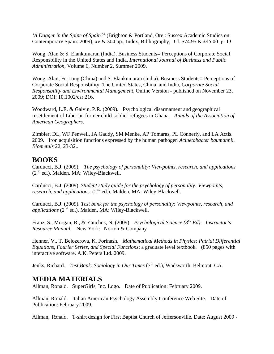*'A Dagger in the Spine of Spain?*' (Brighton & Portland, Ore.: Sussex Academic Studies on Contemporary Spain: 2009), xv & 304 pp., Index, Bibliography, Cl. \$74.95 & ₤45.00. p. 13

Wong, Alan & S. Elankumaran (India). Business Students= Perceptions of Corporate Social Responsbility in the United States and India, *International Journal of Business and Public Administration*, Volume 6, Number 2, Summer 2009.

Wong, Alan, Fu Long (China) and S. Elankumaran (India). Business Students= Perceptions of Corporate Social Responsbility: The United States, China, and India, *Corporate Social Responsbility and Environmental Management*, Online Version - published on November 23, 2009; DOI: 10.1002/csr.216.

Woodward, L.E. & Galvin, P.R. (2009). Psychological disarmament and geographical resettlement of Liberian former child-soldier refugees in Ghana. *Annals of the Association of American Geographers*.

Zimbler, DL, WF Penwell, JA Gaddy, SM Menke, AP Tomaras, PL Connerly, and LA Actis. 2009. Iron acquisition functions expressed by the human pathogen *Acinetobacter baumannii. Biometals* 22, 23-32..

# **BOOKS**

Carducci, B.J. (2009). *The psychology of personality: Viewpoints, research, and applications*   $(2<sup>nd</sup>$  ed.). Malden, MA: Wiley-Blackwell.

Carducci, B.J. (2009). *Student study guide for the psychology of personality: Viewpoints, research, and applications*. (2nd ed.). Malden, MA: Wiley-Blackwell.

Carducci, B.J. (2009). *Test bank for the psychology of personality: Viewpoints, research, and applications* (2<sup>nd</sup> ed.). Malden, MA: Wiley-Blackwell.

Franz, S., Morgan, R., & Yanchus, N. (2009). *Psychological Science (3rd Ed): Instructor's Resource Manual.* New York: Norton & Company

Henner, V., T. Belozerova, K. Forinash. *Mathematical Methods in Physics; Patrial Differential Equations, Fourier Series, and Special Functions*; a graduate level textbook. (850 pages with interactive software. A.K. Peters Ltd. 2009.

Jenks, Richard. *Test Bank: Sociology in Our Times* (7<sup>th</sup> ed.), Wadsworth, Belmont, CA.

## **MEDIA MATERIALS**

Allman, Ronald. SuperGirls, Inc. Logo. Date of Publication: February 2009.

Allman, Ronald. Italian American Psychology Assembly Conference Web Site. Date of Publication: February 2009.

Allman, Ronald. T-shirt design for First Baptist Church of Jeffersonville. Date: August 2009 -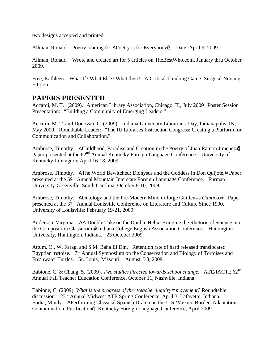two designs accepted and printed.

Allman, Ronald. Poetry reading for APoetry is for Everybody@. Date: April 9, 2009.

Allman, Ronald. Wrote and created art for 5 articles on TheBestWho.com, January thru October 2009.

Free, Kathleen. What If? What Else? What then? A Critical Thinking Game: Surgical Nursing Edition.

#### **PAPERS PRESENTED**

Accardi, M. T. (2009). American Library Association, Chicago, IL, July 2009 Poster Session Presentation: "Building a Community of Emerging Leaders."

Accardi, M. T. and Donovan, C. (2009) Indiana University Librarians' Day, Indianapolis, IN, May 2009. Roundtable Leader: "The IU Libraries Instruction Congress: Creating a Platform for Communication and Collaboration."

Ambrose, Timothy. AChildhood, Paradise and Creation in the Poetry of Juan Ramon Jimenez.@ Paper presented at the  $62<sup>nd</sup>$  Annual Kentucky Foreign Language Conference. University of Kentucky-Lexington: April 16-18, 2009.

Ambrose, Timothy. AThe World Bewitched: Dionysus and the Goddess in Don Quijote.@ Paper presented at the 59<sup>th</sup> Annual Mountain Interstate Foreign Language Conference. Furman University-Greenville, South Carolina: October 8-10, 2009.

Ambrose, Timothy. AOntology and the Pre-Modern Mind in Jorge Guillen=s *Cantico*.@ Paper presented at the 37<sup>th</sup> Annual Louisville Conference on Literature and Culture Since 1900. University of Louisville: February 19-21, 2009.

Anderson, Virginia. AA Double Take on the Double Helix: Bringing the Rhetoric of Science into the Composition Classroom.@ Indiana College English Association Conference. Huntington University, Huntington, Indiana. 23 October 2009.

Attum, O., W. Farag, and S.M. Baha El Din. Retention rate of hard released translocated Egyptian tortoise.  $7<sup>th</sup>$  Annual Symposium on the Conservation and Biology of Tortoises and Freshwater Turtles. St. Louis, Missouri. August 5-8, 2009.

Babione, C. & Chang, S. (2009). *Two studies directed towards school change.* ATE/IACTE 62<sup>nd</sup> Annual Fall Teacher Education Conference, October 11, Nashville, Indiana.

Babione, C. (2009). *What is the progress of the* >*teacher inquiry*<sup>=</sup> *movement?* Roundtable discussion. 23rd Annual Midwest ATE Spring Conference, April 3, Lafayette, Indiana. Badia, Mindy. APerforming Classical Spanish Drama on the U.S./Mexico Border: Adaptation, Contamination, Purification@. Kentucky Foreign Language Conference, April 2009.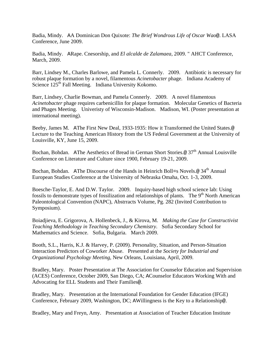Badia, Mindy. AA Dominican Don Quixote: *The Brief Wondrous Life of Oscar Wao*@. LASA Conference, June 2009.

Badia, Mindy. ARape. Cnesorship, and *El alcalde de Zalamaea*, 2009. " AHCT Conference, March, 2009.

Barr, Lindsey M., Charles Barlowe, and Pamela L. Connerly. 2009. Antibiotic is necessary for robust plaque formation by a novel, filamentous *Acinetobacter* phage. Indiana Academy of Science  $125<sup>th</sup>$  Fall Meeting. Indiana University Kokomo.

Barr, Lindsey, Charlie Bowman, and Pamela Connerly. 2009. A novel filamentous *Acinetobacter* phage requires carbenicillin for plaque formation. Molecular Genetics of Bacteria and Phages Meeting. Univeristy of Wisconsin-Madison. Madison, WI. (Poster presentation at international meeting).

Beeby, James M. AThe First New Deal, 1933-1935: How it Transformed the United States.@ Lecture to the Teaching American History from the US Federal Government at the University of Louisville, KY, June 15, 2009.

Bochan, Bohdan. AThe Aesthetics of Bread in German Short Stories.@ 37<sup>th</sup> Annual Louisville Conference on Literature and Culture since 1900, February 19-21, 2009.

Bochan, Bohdan. AThe Discourse of the Hands in Heinrich Boll=s Novels.<sup>@</sup>  $34<sup>th</sup>$  Annual European Studies Conference at the University of Nebraska Omaha, Oct. 1-3, 2009.

Boesche-Taylor, E. And D.W. Taylor. 2009. Inquiry-based high school science lab: Using fossils to demonstrate types of fossilization and relationships of plants. The  $9<sup>th</sup>$  North American Paleontological Convention (NAPC), Abstrracts Volume, Pg. 282 (Invited Contribution to Symposium).

Boiadjieva, E. Grigorova, A. Hollenbeck, J., & Kirova, M. *Making the Case for Constructivist Teaching Methodology in Teaching Secondary Chemistry*. Sofia Secondary School for Mathematics and Science. Sofia, Bulgaria. March 2009.

Booth, S.L., Harris, K.J. & Harvey, P. (2009). Personality, Situation, and Person-Situation Interaction Predictors of Coworker Abuse. Presented at the *Society for Industrial and Organizational Psychology Meeting*, New Orleans, Louisiana, April, 2009.

Bradley, Mary. Poster Presentation at The Association for Counselor Education and Supervision (ACES) Conference, October 2009, San Diego, CA; ACounselor Educators Working With and Advocating for ELL Students and Their Families@.

Bradley, Mary. Presentation at the International Foundation for Gender Education (IFGE) Conference, February 2009, Washington, DC; AWillingness is the Key to a Relationship@.

Bradley, Mary and Freyn, Amy. Presentation at Association of Teacher Education Institute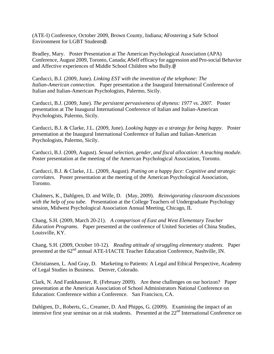(ATE-I) Conference, October 2009, Brown County, Indiana; AFostering a Safe School Environment for LGBT Students@.

Bradley, Mary. Poster Presentation at The American Psychological Association (APA) Conference, August 2009, Toronto, Canada; ASelf efficacy for aggression and Pro-social Behavior and Affective experiences of Middle School Children who Bully.@

Carducci, B.J. (2009, June). *Linking EST with the invention of the telephone: The Italian-American connection*. Paper presentation a the Inaugural International Conference of Italian and Italian-American Psychologists, Palermo, Sicily.

Carducci, B.J. (2009, June). *The persistent pervasiveness of shyness: 1977 vs. 2007.* Poster presentation at The Inaugural International Conference of Italian and Italian-American Psychologists, Palermo, Sicily.

Carducci, B.J. & Clarke, J.L. (2009, June). *Looking happy as a strategy for being happy*. Poster presentation at the Inaugural International Conference of Italian and Italian-American Psychologists, Palermo, Sicily.

Carducci, B.J. (2009, August). *Sexual selection, gender, and fiscal allocation: A teaching module*. Poster presentation at the meeting of the American Psychological Association, Toronto.

Carducci, B.J. & Clarke, J.L. (2009, August). *Putting on a happy face: Cognitive and strategic correlates*. Poster presentation at the meeting of the American Psychological Association, Toronto.

Chalmers, K., Dahlgren, D. and Wille, D. (May, 2009). *Reinvigorating classroom discussions with the help of you tube.* Presentation at the College Teachers of Undergraduate Psychology session, Midwest Psychological Association Annual Meeting, Chicago, IL

Chang, S.H. (2009, March 20-21). *A comparison of East and West Elementary Teacher Education Programs*. Paper presented at the conference of United Societies of China Studies, Louisville, KY.

Chang, S.H. (2009, October 10-12). *Reading attitude of struggling elementary students.* Paper presented at the 62<sup>nd</sup> annual ATE-I/IACTE Teacher Education Conference, Nashville, IN.

Christiansen, L. And Gray, D. Marketing to Patients: A Legal and Ethical Perspective, Academy of Legal Studies in Business. Denver, Colorado.

Clark, N. And Fankhausser, R. (February 2009). Are these challenges on our horizon? Paper presentation at the American Association of School Administrators National Conference on Education: Conference within a Conference. San Francisco, CA.

Dahlgren, D., Roberts, G., Creamer, D. And Phipps, G. (2009). Examining the impact of an intensive first year seminar on at risk students. Presented at the 22<sup>nd</sup> International Conference on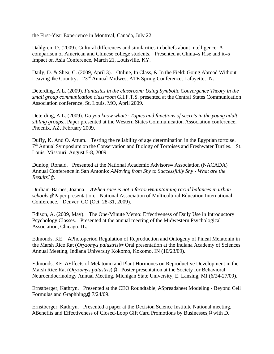the First-Year Experience in Montreal, Canada, July 22.

Dahlgren, D. (2009). Cultural differences and similarities in beliefs about intelligence: A comparison of American and Chinese college students. Presented at China=s Rise and it=s Impact on Asia Conference, March 21, Louisville, KY.

Daily, D. & Shea, C. (2009, April 3). Online, In Class, & In the Field: Going Abroad Without Leaving the Country. 23<sup>rd</sup> Annual Midwest ATE Spring Conference, Lafayette, IN.

Deterding, A.L. (2009). *Fantasies in the classroom: Using Symbolic Convergence Theory in the small group communication classroom* G.I.F.T.S. presented at the Central States Communication Association conference, St. Louis, MO, April 2009.

Deterding, A.L. (2009). *Do you know what?: Topics and functions of secrets in the young adult sibling groups*., Paper presented at the Western States Communication Association conference, Phoenix, AZ, February 2009.

Duffy, K. And O. Attum. Testing the reliability of age determination in the Egyptian tortoise. 7<sup>th</sup> Annual Symposium on the Conservation and Biology of Tortoises and Freshwater Turtles. St. Louis, Missouri. August 5-8, 2009.

Dunlop, Ronald. Presented at the National Academic Advisors= Association (NACADA) Annual Conference in San Antonio: *AMoving from Shy to Successfully Shy - What are the Results?*@.

Durham-Barnes, Joanna.<sup>A</sup>*When race is not a factor*B*maintaining racial balances in urban schools.*@ Paper presentation. National Association of Multicultural Education International Conference. Denver, CO (Oct. 28-31, 2009).

Edison, A. (2009, May). The One-Minute Memo: Effectiveness of Daily Use in Introductory Psychology Classes. Presented at the annual meeting of the Midwestern Psychological Association, Chicago, IL.

Edmonds, KE. APhotoperiod Regulation of Reproduction and Ontogeny of Pineal Melatonin in the Marsh Rice Rat (*Oryzomys palustris*)@ Oral presentation at the Indiana Academy of Sciences Annual Meeting, Indiana University Kokomo, Kokomo, IN (10/23/09).

Edmonds, KE. AEffects of Melatonin and Plant Hormones on Reproductive Development in the Marsh Rice Rat (*Oryzomys palustris*).@ Poster presentation at the Society for Behavioral Neuroendocrinology Annual Meeting, Michigan State University, E. Lansing, MI (6/24-27/09).

Ernstberger, Kathryn. Presented at the CEO Roundtable, ASpreadsheet Modeling - Beyond Cell Formulas and Graphhing,@ 7/24/09.

Ernstberger, Kathryn. Presented a paper at the Decision Science Institute National meeting, ABenefits and Effectiveness of Closed-Loop Gift Card Promotions by Businesses,@ with D.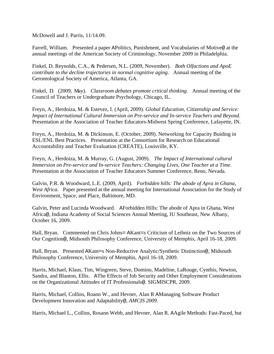McDowell and J. Parris, 11/14.09.

Farrell, William. Presented a paper APolitics, Punishment, and Vocabularies of Motive@ at the annual meetings of the American Society of Criminology, November 2009 in Philadelphia.

Finkel, D. Reynolds, C.A., & Pedersen, N.L. (2009, November). *Both Olfactions and ApoE contribute to the decline trajectories in normal cognitive aging*. Annual meeting of the Gerontological Society of America, Atlanta, GA.

Finkel, D. (2009, May). *Classroom debates promote critical thinking*. Annual meeting of the Council of Teachers or Undergraduate Psychology, Chicago, IL.

Freyn, A., Herdoiza, M. & Estevez, I. (April, 2009). *Global Education, Citizenship and Service: Impact of International Cultural Immersion on Pre-service and In-service Teachers and Beyond*. Presentation at the Association of Teacher Educators-Midwest Spring Conference, Lafayette, IN.

Freyn, A., Herdoiza, M. & Dickinson, E. (October, 2009). Networking for Capacity Buiding in ESL/ENL Best Practices. Presentation at the Consortium for Research on Educational Accountability and Teacher Evaluation (CREATE), Louisville, KY.

Freyn, A., Herdoiza, M. & Murray, G. (August, 2009). *The Impact of International cultural Immersion on Pre-service and In-service Teachers: Changing Lives, One Teacher at a Time*. Presentation at the Association of Teacher Educators Summer Conference, Reno, Nevada.

Galvin, P.R. & Woodward, L.E. (2009, April). *Forbidden hills: The abode of Apra in Ghana*, *West Africa*. Paper presented at the annual meeting for International Association for the Study of Environment, Space, and Place, Baltimore, MD.

Galvin, Peter and Lucinda Woodward. AForbidden Hills: The abode of Apra in Ghana, West Africa@, Indiana Academy of Social Sciences Annual Meeting, IU Southeast, New Albany, October 16, 2009.

Hall, Bryan. Commented on Chris Johns= AKant=s Criticism of Leibniz on the Two Sources of Our Cognition@, Midsouth Philosophy Conference, University of Memphis, April 16-18, 2009.

Hall, Bryan. Presented AKant=s Non-Reductive Analytic/Synthetic Distinction@, Midsouth Philosophy Conference, University of Memphis, April 16-18, 2009.

Harris, Michael, Klaus, Tim, Wingreen, Steve, Domino, Madeline, LaRouge, Cynthis, Newton, Sandra, and Blanton, Ellis. AThe Effects of Job Security and Other Employment Considerations on the Organizational Attitudes of IT Professionals@. SIGMISCPR, 2009.

Harris, Michael, Collins, Roann W., and Hevner, Alan R AManaging Software Product Development Innovation and Adaptability@, *AMCIS 2009.*

Harris, Michael L., Collins, Rosann Webb, and Hevner, Alan R. AAgile Methods: Fast-Paced, but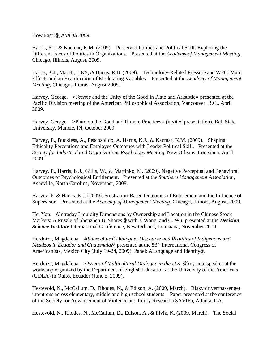How Fast?@, *AMCIS 2009.*

Harris, K.J. & Kacmar, K.M. (2009). Perceived Politics and Political Skill: Exploring the Different Faces of Politics in Organizations. Presented at the *Academy of Management Meeting*, Chicago, Illinois, August, 2009.

Harris, K.J., Marett, L.K>, & Harris, R.B. (2009). Technology-Related Pressure and WFC: Main Effects and an Examination of Moderating Variables. Presented at the *Academy of Management Meeting*, Chicago, Illinois, August 2009.

Harvey, George. > *Techne* and the Unity of the Good in Plato and Aristotle= presented at the Pacific Division meeting of the American Philosophical Association, Vancouver, B.C., April 2009.

Harvey, George. >Plato on the Good and Human Practices= (invited presentation), Ball State University, Muncie, IN, October 2009.

Harvey, P., Buckless, A., Pescosolido, A. Harris, K.J., & Kacmar, K.M. (2009). Shaping Ethicality Perceptions and Employee Outcomes with Leader Political Skill. Presented at the *Society for Industrial and Organizations Psychology Meeting*, New Orleans, Louisiana, April 2009.

Harvey, P., Harris, K.J., Gillis, W., & Martinko, M. (2009). Negative Perceptual and Behavioral Outcomes of Psychological Entitlement. Presented at the *Southern Management Association*, Asheville, North Carolina, November, 2009.

Harvey, P. & Harris, K.J. (2009). Frustration-Based Outcomes of Entitlement and the Influence of Supervisor. Presented at the *Academy of Management Meeting*, Chicago, Illinois, August, 2009.

He, Yan. AIntraday Liquidity Dimensions by Ownership and Location in the Chinese Stock Markets: A Puzzle of Shenzhen B. Shares,@ with J. Wang, and C. Wu, presented at the *Decision Science Institute* International Conference, New Orleans, Louisiana, November 2009.

Herdoiza, Magdalena. *AIntercultural Dialogue: Discourse and Realities of Indigenous and Mestizos in Ecuador and Guatemala*@, presented at the 53<sup>rd</sup> International Congress of Americanists, Mexico City (July 19-24, 2009). Panel: ALanguage and Identity@.

Herdoiza, Magdalena. A*Issues of Multicultural Dialogue in the U.S.,*@ key note speaker at the workshop organized by the Department of English Education at the University of the Americals (UDLA) in Quito, Ecuador (June 5, 2009).

Hestevold, N., McCallum, D., Rhodes, N., & Edison, A. (2009, March). Risky driver/passenger intentions across elementary, middle and high school students. Paper presented at the conference of the Society for Advancement of Violence and Injury Research (SAVIR), Atlanta, GA.

Hestevold, N., Rhodes, N., McCallum, D., Edison, A., & Pivik, K. (2009, March). The Social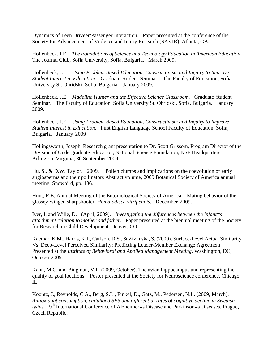Dynamics of Teen Driveer/Passenger Interaction. Paper presented at the conference of the Society for Advancement of Violence and Injury Research (SAVIR), Atlanta, GA.

Hollenbeck, J.E. *The Foundations of Science and Technology Education in American Education*, The Journal Club, Sofia University, Sofia, Bulgaria. March 2009.

Hollenbeck, J.E. *Using Problem Based Education, Constructivism and Inquiry to Improve Student Interest in Education*. Graduate Student Seminar. The Faculty of Education, Sofia University St. Ohridski, Sofia, Bulgaria. January 2009.

Hollenbeck, J.E. *Madeline Hunter and the Effective Science Classroom*. Graduate Student Seminar. The Faculty of Education, Sofia University St. Ohridski, Sofia, Bulgaria. January 2009.

Hollenbeck, J.E. *Using Problem Based Education, Constructivism and Inquiry to Improve Student Interest in Education*. First English Language School Faculty of Education, Sofia, Bulgaria. January 2009.

Hollingsworth, Joseph. Research grant presentation to Dr. Scott Grissom, Program Director of the Division of Undergraduate Education, National Science Foundation, NSF Headquarters, Arlington, Virginia, 30 September 2009.

Hu, S., & D.W. Taylor. 2009. Pollen clumps and implications on the coevolution of early angiosperms and their pollinators Abstract volume, 2009 Botanical Society of America annual meeting, Snowbird, pp. 136.

Hunt, R.E. Annual Meeting of the Entomological Society of America. Mating behavior of the glassey-winged sharpshooter, *Homalodisca vitripennis*. December 2009.

Iyer, I. and Wille, D. (April, 2009). *Investigating the differences between the infant=s attachment relation to mother and father*. Paper presented at the biennial meeting of the Society for Research in Child Development, Denver, CO.

Kacmar, K.M., Harris, K.J., Carlson, D.S., & Zivnuska, S. (2009). Surface-Level Actual Similarity Vs. Deep-Level Perceived Similarity: Predicting Leader-Member Exchange Agreement. Presented at the *Institute of Behavioral and Applied Management Meeting*, Washington, DC, October 2009.

Kahn, M.C. and Bingman, V.P. (2009, October). The avian hippocampus and representing the quality of goal locations. Poster presented at the Society for Neuroscience conference, Chicago, IL.

Koontz, J., Reynolds, C.A., Berg, S.L., Finkel, D., Gatz, M., Pedersen, N.L. (2009, March). *Antioxidant consumption, childhood SES and differential rates of cognitive decline in Swedish twins*. 9<sup>th</sup> International Conference of Alzheimer=s Disease and Parkinson=s Diseases, Prague, Czech Republic.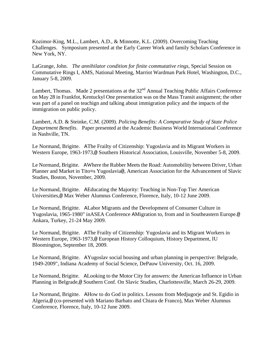Kozimor-King, M.L., Lambert, A.D., & Minnotte, K.L. (2009). Overcoming Teaching Challenges. Symposium presented at the Early Career Work and family Scholars Conference in New York, NY.

LaGrange, John. *The annihilator condition for finite commutative rings*, Special Session on Commutative Rings I, AMS, National Meeting, Marriot Wardman Park Hotel, Washington, D.C., January 5-8, 2009.

Lambert, Thomas. Made 2 presentations at the  $32<sup>nd</sup>$  Annual Teaching Public Affairs Conference on May 28 in Frankfot, Kentuckyl One presentation was on the Mass Transit assignment; the other was part of a panel on teachign and talking about immigration policy and the impacts of the immigration on public policy.

Lambert, A.D. & Steinke, C.M. (2009). *Policing Benefits: A Comparative Study of State Police Department Benefits*. Paper presented at the Academic Business World International Conference in Nashville, TN.

Le Normand, Brigitte. AThe Frailty of Citizenship: Yugoslavia and its Migrant Workers in Western Europe, 1963-1973,@ Southern Historical Association, Louisville, November 5-8, 2009.

Le Normand, Brigitte. AWhere the Rubber Meets the Road: Automobility between Driver, Urban Planner and Market in Tito=s Yugoslavia@, American Association for the Advancement of Slavic Studies, Boston, November, 2009.

Le Normand, Brigitte. AEducating the Majority: Teaching in Non-Top Tier American Universities,@ Max Weber Alumnus Conference, Florence, Italy, 10-12 June 2009.

Le Normand, Brigitte. ALabor Migrants and the Development of Consumer Culture in Yugoslavia, 1965-1980" inASEA Conference AMigration to, from and in Southeastern Europe.@ Ankara, Turkey, 21-24 May 2009.

Le Normand, Brigitte. AThe Frailty of Citizenship: Yugoslavia and its Migrant Workers in Western Europe, 1963-1973,@ European History Colloquium, History Department, IU Bloomington, September 18, 2009.

Le Normand, Brigitte. AYugoslav social housing and urban planning in perspective: Belgrade, 1949-2009", Indiana Academy of Social Science, DePauw University, Oct. 16, 2009.

Le Normand, Brigitte. ALooking to the Motor City for answers: the American Influence in Urban Planning in Belgrade,@ Southern Conf. On Slavic Studies, Charlottesville, March 26-29, 2009.

Le Normand, Brigitte. AHow to do God in politics. Lessons from Medjugorje and St. Egidio in Algeria,@ (co-presented with Mariano Barbato and Chiara de Franco), Max Weber Alumnus Conference, Florence, Italy, 10-12 June 2009.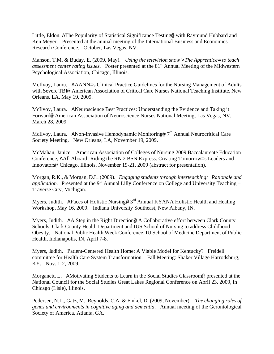Little, Eldon. AThe Popularity of Statistical Significance Testing@ with Raymund Hubbard and Ken Meyer. Presented at the annual meeting of the International Business and Economics Research Conference. October, Las Vegas, NV.

Manson, T.M. & Buday, E. (2009, May). *Using the television show >The Apprentice*<sup>=</sup> *to teach assessment center rating issues.* Poster presented at the 81<sup>st</sup> Annual Meeting of the Midwestern Psychological Association, Chicago, Illinois.

McIlvoy, Laura. AAANN=s Clinical Practice Guidelines for the Nursing Management of Adults with Severe TBI@ American Association of Critical Care Nurses National Teaching Institute, New Orleans, LA, May 19, 2009.

McIlvoy, Laura. ANeuroscience Best Practices: Understanding the Evidence and Taking it Forward@ American Association of Neuroscience Nurses National Meeting, Las Vegas, NV, March 28, 2009.

McIlvoy, Laura. ANon-invasive Hemodynamic Monitoring  $7<sup>th</sup>$  Annual Neurocritical Care Society Meeting. New Orleans, LA, November 19, 2009.

McMahan, Janice. American Association of Colleges of Nursing 2009 Baccalaureate Education Conference, AAll Aboard! Riding the RN 2 BSN Express. Creating Tomorrow=s Leaders and Innovators@ Chicago, Illinois, November 19-21, 2009 (abstract for presentation).

Morgan, R.K., & Morgan, D.L. (2009). *Engaging students through interteaching: Rationale and application.* Presented at the 9<sup>th</sup> Annual Lilly Conference on College and University Teaching – Traverse City, Michigan.

Myers, Judith. AFaces of Holistic Nursing  $3<sup>rd</sup>$  Annual KYANA Holistic Health and Healing Workshop, May 16, 2009. Indiana University Southeast, New Albany, IN.

Myers, Judith. AA Step in the Right Direction@ A Collaborative effort between Clark County Schools, Clark County Health Department and IUS School of Nursing to address Childhood Obesity. National Public Health Week Conference, IU School of Medicine Department of Public Health, Indianapolis, IN, April 7-8.

Myers, Judith. Patient-Centered Health Home: A Viable Model for Kentucky? Freidell committee for Health Care System Transformation. Fall Meeting: Shaker Village Harrodsburg, KY. Nov. 1-2, 2009.

Morganett, L. AMotivating Students to Learn in the Social Studies Classroom@ presented at the National Council for the Social Studies Great Lakes Regional Conference on April 23, 2009, in Chicago (Lisle), Illinois.

Pedersen, N.L., Gatz, M., Reynolds, C.A. & Finkel, D. (2009, November). *The changing roles of genes and environments in cognitive aging and dementia*. Annual meeting of the Gerontological Society of America, Atlanta, GA.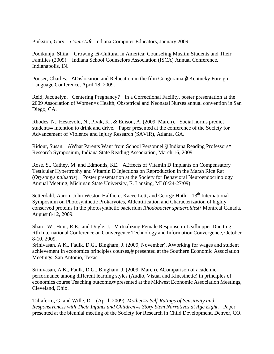Pinkston, Gary. *ComicLife*, Indiana Computer Educators, January 2009.

Podikunju, Shifa. Growing Bi-Cultural in America: Counseling Muslim Students and Their Families (2009). Indiana School Counselors Association (ISCA) Annual Conference, Indianapolis, IN.

Pooser, Charles. ADislocation and Relocation in the film Congorama.@ Kentucky Foreign Language Conference, April 18, 2009.

Reid, Jacquelyn. Centering Pregnancy7 in a Correctional Facility, poster presentation at the 2009 Association of Women=s Health, Obstetrical and Neonatal Nurses annual convention in San Diego, CA.

Rhodes, N., Hestevold, N., Pivik, K., & Edison, A. (2009, March). Social norms predict students= intention to drink and drive. Paper presented at the conference of the Society for Advancement of Violence and Injury Research (SAVIR), Atlanta, GA.

Ridout, Susan. AWhat Parents Want from School Personnel.@ Indiana Reading Professors= Research Symposium, Indiana State Reading Association, March 16, 2009.

Rose, S., Cathey, M. and Edmonds, KE. AEffects of Vitamin D Implants on Compensatory Testicular Hypertrophy and Vitamin D Injections on Reproduction in the Marsh Rice Rat (*Oryzomys palustris*). Poster presentation at the Society for Behavioral Neuroendocrinology Annual Meeting, Michigan State University, E. Lansing, MI (6/24-27/09).

Setterdahl, Aaron, John Weston Halfacre, Kacee Lett, and George Huth. 13<sup>th</sup> International Symposium on Photosynthetic Prokaryotes, AIdentification and Characterization of highly conserved proteins in the photosynthetic bacterium *Rhodobacter sphaeroides*@ Montreal Canada, August 8-12, 2009.

Shato, W., Hunt, R.E., and Doyle, J. Virtualizing Female Response in Leafhopper Duetting. Rth International Conference on Convergence Technology and Information Convergence, October 8-10, 2009.

Srinivasan, A.K., Faulk, D.G., Bingham, J. (2009, November). AWorking for wages and student achievement in economics principles courses,@ presented at the Southern Economic Association Meetings, San Antonio, Texas.

Srinivasan, A.K., Faulk, D.G., Bingham, J. (2009, March). AComparison of academic performance among different learning styles (Audio, Visual and Kinesthetic) in principles of economics course Teaching outcome,@ presented at the Midwest Economic Association Meetings, Cleveland, Ohio.

Taliaferro, G. and Wille, D. (April, 2009). *Mother=s Self-Ratings of Sensitivity and Responsiveness with Their Infants and Children*=*s Story Stem Narratives at Age Eight*. Paper presented at the biennial meeting of the Society for Research in Child Development, Denver, CO.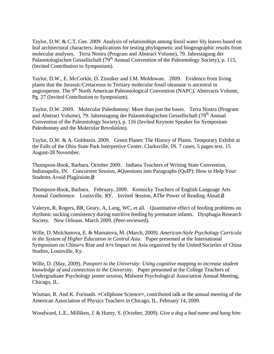Taylor, D.W. & C.T. Gee. 2009. Analysis of relationships among fossil water lily leaves based on leaf architectural characters: Implications for testing phylogenetic and biogeographic results from molecular analyses. Terra Nostra (Program and Abstract Volume), 79. Jahrestagung der Palaontologischen Gessellschaft ( $79<sup>th</sup>$  Annual Convention of the Paleontology Society), p. 115, (Invited Contribution to Symposium).

Taylor, D.W., E. McCorkle, D. Zinniker and J.M. Moldowan. 2009. Evidence from living plants that the Jurassic/Cretaceous to Tertiary molecular fossil oleanane is ancestral in angiosperms. The 9<sup>th</sup> North American Paleontological Convention (NAPC), Abstrracts Volume, Pg. 27 (Invited Contribution to Symposium).

Taylor, D.W. 2009. Molecular Paleobotony: More than just the bases. Terra Nostra (Program and Abstract Volume), 79. Jahrestagung der Palaontologischen Gessellschaft (79<sup>th</sup> Annual Convention of the Paleontology Society), p. 116 (Invited Keynote Speaker for Symposium Paleobotony and the Molecular Revolution).

Taylor, D.W. & A. Goldstein. 2009. Green Planet: The History of Plants. Temporary Exhibit at the Falls of the Ohio State Park Interpretive Center, Clarksville, IN. 7 cases, 5 pages text. 15 August-28 November.

Thompson-Book, Barbara. October 2009. Indiana Teachers of Writing State Convention, Indianapolis, IN. Concurrent Session, AQuestions into Paragraphs (QuIP): How to Help Your Students Avoid Plagiraism.@

Thompson-Book, Barbara. February, 2009. Kentucky Teachers of English Language Arts Annual Conference. Louisville, KY. Invited Session, AThe Power of Reading Aloud.@

Valeryn, R, Rogers, BR, Geary, A, Lang, WC, et all. Quantitative effect of feeding problems on rhythmic sucking consistency during nutritive feeding by premature infants. Dysphagia Research Society. New Orleans. March 2009. (Peer-reviewed).

Wille, D. Molchanova, E. & Mamatova, M. (March, 2009). *American-Style Psychology Curricula in the System of Higher Education in Central Asia*. Paper presented at the International Symposium on China=s Rise and it=s Impact on Asia organized by the United Societies of China Studies, Louisville, Ky.

Wille, D. (May, 2009). *Passport to the University: Using cognitive mapping to increase student knowledge of and connection to the University*. Paper presented at the College Teachers of Undergraduate Psychology poster session, Midwest Psychological Association Annual Meeting, Chicago, IL.

Wisman, R. And K. Forinash. > Cellphone Science = , contributed talk at the annual meeting of the American Association of Physics Teachers in Chicago, IL. February 14, 2009.

Woodward, L.E., Milliken, J. & Humy, S. (October, 2009). *Give a dog a bad name and hang him:*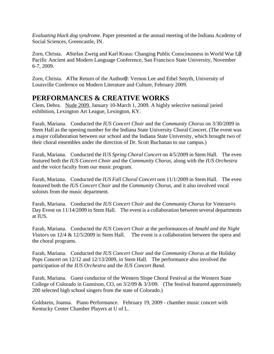*Evaluating black dog syndrome*. Paper presented at the annual meeting of the Indiana Academy of Social Sciences, Greencastle, IN.

Zorn, Christa. AStefan Zweig and Karl Kraus: Changing Public Consciousness in World War I,@ Pacific Ancient and Modern Language Conference, San Francisco State University, November 6-7, 2009.

Zorn, Christa. AThe Return of the Author@: Vernon Lee and Ethel Smyth, University of Louisville Confernce on Modern Literature and Culture, February 2009.

## **PERFORMANCES & CREATIVE WORKS**

Clem, Debra. Nude 2009, January 10-March 1, 2009. A highly selective national juried exhibition, Lexington Art League, Lexington, KY.

Farah, Mariana. Conducted the *IUS Concert Choir* and the *Community Chorus* on 3/30/2009 in Stem Hall as the opening number for the Indiana State University Choral Concert. (The event was a major collaboration between our school and the Indiana State University, which brought two of their choral ensembles under the direction of Dr. Scott Buchanan to our campus.)

Farah, Mariana. Conducted the *IUS Spring Choral Concert* on 4/5/2009 in Stem Hall. The even featured both the *IUS Concert Choir* and the *Community Chorus*, along with the *IUS Orchestra*  and the voice faculty from our music program.

Farah, Mariana. Conducted the *IUS Fall Choral Concert* oon 11/1/2009 in Stem Hall. The even featured both the *IUS Concert Choir* and the *Community Chorus*, and it also involved vocal soloists from the music department.

Farah, Mariana. Conducted the *IUS Concert Choir* and the *Community Chorus* for Veteran=s Day Event on 11/14/2009 in Stem Hall. The event is a collaboration between several departments at IUS.

Farah, Mariana. Conducted the *IUS Concert Choir* at the performances of *Amahl and the Night Visitors* on 12/4 & 12/5/2009 in Stem Hall. The event is a collaboration between the opera and the choral programs.

Farah, Mariana. Conducted the *IUS Concert Choir* and the *Community Chorus* at the Holiday Pops Concert on 12/12 and 12/13/2009, in Stem Hall. The performance also involved the participation of the *IUS Orchestra* and the *IUS Concert Band*.

Farah, Mariana. Guest conductor of the Western Slope Choral Festival at the Western State College of Colorado in Gunnison, CO, on 3/2/09 & 3/3/09. (The festival featured approximately 200 selected high school singers from the state of Colorado.)

Goldstein, Joanna. Piano Performance. February 19, 2009 - chamber music concert with Kentucky Center Chamber Players at U of L.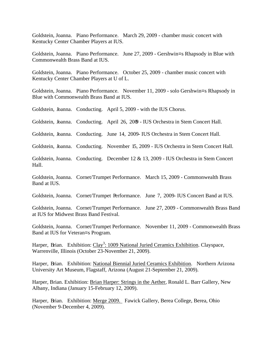Goldstein, Joanna. Piano Performance. March 29, 2009 - chamber music concert with Kentucky Center Chamber Players at IUS.

Goldstein, Joanna. Piano Performance. June 27, 2009 - Gershwin=s Rhapsody in Blue with Commonwealth Brass Band at IUS.

Goldstein, Joanna. Piano Performance. October 25, 2009 - chamber music concert with Kentucky Center Chamber Players at U of L.

Goldstein, Joanna. Piano Performance. November 11, 2009 - solo Gershwin=s Rhapsody in Blue with Commonwealth Brass Band at IUS.

Goldstein, Joanna. Conducting. April 5, 2009 - with the IUS Chorus.

Goldstein, Joanna. Conducting. April 26, 2009 - IUS Orchestra in Stem Concert Hall.

Goldstein, Joanna. Conducting. June 14, 2009- IUS Orchestra in Stem Concert Hall.

Goldstein, Joanna. Conducting. November 15, 2009 - IUS Orchestra in Stem Concert Hall.

Goldstein, Joanna. Conducting. December 12 & 13, 2009 - IUS Orchestra in Stem Concert Hall.

Goldstein, Joanna. Cornet/Trumpet Performance. March 15, 2009 - Commonwealth Brass Band at IUS.

Goldstein, Joanna. Cornet/Trumpet Performance. June 7, 2009 - IUS Concert Band at IUS.

Goldstein, Joanna. Cornet/Trumpet Performance. June 27, 2009 - Commonwealth Brass Band at IUS for Midwest Brass Band Festival.

Goldstein, Joanna. Cornet/Trumpet Performance. November 11, 2009 - Commonwealth Brass Band at IUS for Veteran=s Program.

Harper, Brian. Exhibition: Clay<sup>3</sup>: 1009 National Juried Ceramics Exhibition. Clayspace, Warrenville, Illinois (October 23-November 21, 2009).

Harper, Brian. Exhibition: National Biennial Juried Ceramics Exhibition. Northern Arizona University Art Museum, Flagstaff, Arizona (August 21-September 21, 2009).

Harper, Brian. Exhibition: Brian Harper: Strings in the Aether, Ronald L. Barr Gallery, New Albany, Indiana (January 15-February 12, 2009).

Harper, Brian. Exhibition: Merge 2009. Fawick Gallery, Berea College, Berea, Ohio (November 9-December 4, 2009).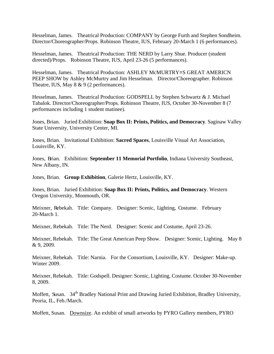Hesselman, James. Theatrical Production: COMPANY by George Furth and Stephen Sondheim. Director/Choreographer/Props. Robinson Theatre, IUS, February 20-March 1 (6 performances).

Hesselman, James. Theatrical Production: THE NERD by Larry Shue. Producer (student directed)/Props. Robinson Theatre, IUS, April 23-26 (5 performances).

Hesselman, James. Theatrical Production: ASHLEY McMURTRY=S GREAT AMERICN PEEP SHOW by Ashley McMurtry and Jim Hesselman. Director/Choreographer. Robinson Theatre, IUS, May 8 & 9 (2 performances).

Hesselman, James. Theatrical Production: GODSPELL by Stephen Schwartz & J. Michael Tabalok. Director/Choreographer/Props. Robinson Theatre, IUS, October 30-November 8 (7 performances including 1 student matinee).

Jones, Brian. Juried Exhibition: **Soap Box II: Prints, Politics, and Democracy**. Saginaw Valley State University, University Center, MI.

Jones, Brian. Invitational Exhibition: **Sacred Spaces**, Louisville Visual Art Association, Louisville, KY.

Jones, Brian. Exhibition: **September 11 Memorial Portfolio**, Indiana University Southeast, New Albany, IN.

Jones, Brian. **Group Exhibition**, Galerie Hertz, Louisville, KY.

Jones, Brian. Juried Exhibition: **Soap Box II: Prints, Politics, and Democracy**. Western Oregon University, Monmouth, OR.

Meixner, Rebekah. Title: Company. Designer: Scenic, Lighting, Costume. February 20-March 1.

Meixner, Rebekah. Title: The Nerd. Designer: Scenic and Costume, April 23-26.

Meixner, Rebekah. Title: The Great American Peep Show. Designer: Scenic, Lighting. May 8 & 9, 2009.

Meixner, Rebekah. Title: Narnia. For the Consortium, Louisville, KY. Designer: Make-up. Winter 2009.

Meixner, Rebekah. Title: Godspell. Designer: Scenic, Lighting, Costume. October 30-November 8, 2009.

Moffett, Susan. 34<sup>th</sup> Bradley National Print and Drawing Juried Exhibition, Bradley University, Peoria, IL, Feb./March.

Moffett, Susan. Downsize. An exhibit of small artworks by PYRO Gallery members, PYRO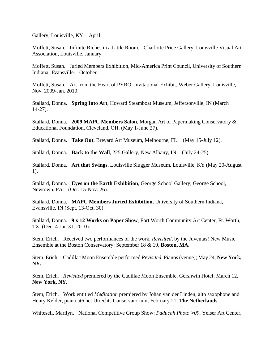Gallery, Louisville, KY. April.

Moffett, Susan. Infinite Riches in a Little Room. Charlotte Price Gallery, Louisville Visual Art Association, Louisville, January.

Moffett, Susan. Juried Members Exhibition, Mid-America Print Council, University of Southern Indiana, Evansville. October.

Moffett, Susan. Art from the Heart of PYRO, Invitational Exhibit, Weber Gallery, Louisville, Nov. 2009-Jan. 2010.

Stallard, Donna. **Spring Into Art**, Howard Steamboat Museum, Jeffersonville, IN (March 14-27).

Stallard, Donna. **2009 MAPC Members Salon**, Morgan Art of Papermaking Conservatory & Educational Foundation, Cleveland, OH. (May 1-June 27).

Stallard, Donna. **Take Out**, Brevard Art Museum, Melbourne, FL. (May 15-July 12).

Stallard, Donna. **Back to the Wall**, 225 Gallery, New Albany, IN. (July 24-25).

Stallard, Donna. **Art that Swings**, Louisville Slugger Museum, Louisville, KY (May 20-August 1).

Stallard, Donna. **Eyes on the Earth Exhibition**, George School Gallery, George School, Newtown, PA. (Oct. 15-Nov. 26).

Stallard, Donna. **MAPC Members Juried Exhibition**, University of Southern Indiana, Evansville, IN (Sept. 13-Oct. 30).

Stallard, Donna. **9 x 12 Works on Paper Show**, Fort Worth Community Art Center, Ft. Worth, TX. (Dec. 4-Jan 31, 2010).

Stem, Erich. Received two performances of the work, *Revisited*, by the Juventas! New Music Ensemble at the Boston Conservatory: September 18 & 19, **Boston, MA.**

Stem, Erich. Cadillac Moon Ensemble performed *Revisited*, Pianos (venue); May 24, **New York, NY.**

Stem, Erich. *Revisited* premiered by the Cadillac Moon Ensemble, Gershwin Hotel; March 12, **New York, NY.**

Stem, Erich. Work entitled *Meditation* premiered by Johan van der Linden, alto saxophone and Henry Kelder, piano at6 het Utrechts Conservatorium; February 21, **The Netherlands**.

Whitesell, Marilyn. National Competitive Group Show: *Paducah Photo >09*, Yeiser Art Center,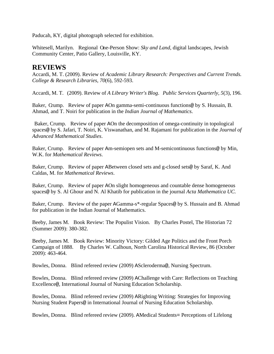Paducah, KY, digital photograph selected for exhibition.

Whitesell, Marilyn. Regional One-Person Show: *Sky and Land*, digital landscapes, Jewish Community Center, Patio Gallery, Louisville, KY.

#### **REVIEWS**

Accardi, M. T. (2009). Review of *Academic Library Research: Perspectives and Current Trends. College & Research Libraries, 70*(6), 592-593.

Accardi, M. T. (2009). Review of *A Library Writer's Blog*. *Public Services Quarterly, 5*(3), 196.

Baker, Crump. Review of paper AOn gamma-semi-continuous functions@ by S. Hussain, B. Ahmad, and T. Noiri for publication in the *Indian Journal of Mathematics*.

Baker, Crump. Review of paper AOn the decomposition of omega-continuity in topological spaces@ by S. Jafari, T. Noiri, K. Viswanathan, and M. Rajamani for publication in the *Journal of Advanced Mathematical Studies*.

Baker, Crump. Review of paper Am-semiopen sets and M-semicontinuous functions@ by Min, W.K. for *Mathematical Reviews*.

Baker, Crump. Review of paper ABetween closed sets and g-closed sets@ by Saraf, K. And Caldas, M. for *Mathematical Reviews*.

Baker, Crump. Review of paper AOn slight homogeneous and countable dense homogeneous spaces@ by S. Al Ghour and N. Al Khatib for publication in the journal *Acta Mathematica UC.*

Baker, Crump. Review of the paper AGamma-s\*-regular Spaces@ by S. Hussain and B. Ahmad for publication in the Indian Journal of Mathematics.

Beeby, James M. Book Review: The Populist Vision. By Charles Postel, The Historian 72 (Summer 2009): 380-382.

Beeby, James M. Book Review: Minority Victory: Gilded Age Politics and the Front Porch Campaign of 1888. By Charles W. Calhoun, North Carolina Historical Review, 86 (October 2009): 463-464.

Bowles, Donna. Blind refereed review (2009) AScleroderma@, Nursing Spectrum.

Bowles, Donna. Blind refereed review (2009) AChallenge with Care: Reflections on Teaching Excellence@, International Journal of Nursing Education Scholarship.

Bowles, Donna. Blind refereed review (2009) ARighting Writing: Strategies for Improving Nursing Student Papers@ in International Journal of Nursing Education Scholarship.

Bowles, Donna. Blind refereed review (2009). AMedical Students= Perceptions of Lifelong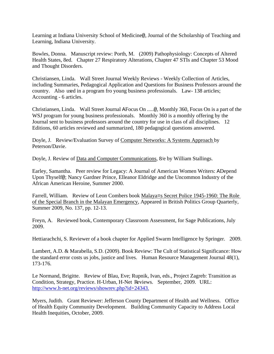Learning at Indiana University School of Medicine@, Journal of the Scholarship of Teaching and Learning, Indiana University.

Bowles, Donna. Manuscript review: Porth, M. (2009) Pathophysiology: Concepts of Altered Health States, 8ed. Chapter 27 Respiratory Alterations, Chapter 47 STIs and Chapter 53 Mood and Thought Disorders.

Christiansen, Linda. Wall Street Journal Weekly Reviews - Weekly Collection of Articles, including Summaries, Pedagogical Application and Questions for Business Professors around the country. Also used in a program fro young business professionals. Law- 138 articles; Accounting - 6 articles.

Christiansen, Linda. Wall Street Journal AFocus On .....@, Monthly 360, Focus On is a part of the WSJ program for young business professionals. Monthly 360 is a monthly offering by the Journal sent to business professors around the country for use in class of all disciplines. 12 Editions, 60 articles reviewed and summarized, 180 pedagogical questions answered.

Doyle, J. Review/Evaluation Survey of Computer Networks: A Systems Approach by Peterson/Davie.

Doyle, J. Review of Data and Computer Communications, 8/e by William Stallings.

Earley, Samantha. Peer review for Legacy: A Journal of American Women Writers: ADepend Upon Thyself@; Nancy Gardner Prince, Elleanor Eldridge and the Uncommon Industry of the African American Heroine, Summer 2000.

Farrell, William. Review of Leon Combers book Malaya=s Secret Police 1945-1960: The Role of the Special Branch in the Malayan Emergency, Appeared in British Politics Group Quarterly, Summer 2009, No. 137, pp. 12-13.

Freyn, A. Reviewed book, Contemporary Classroom Assessment, for Sage Publications, July 2009.

Hettiarachchi, S. Reviewer of a book chapter for Applied Swarm Intelligence by Springer. 2009.

Lambert, A.D. & Marabella, S.D. (2009). Book Review: The Cult of Statistical Significance: How the standard error costs us jobs, justice and lives. Human Resource Management Journal 48(1), 173-176.

Le Normand, Brigitte. Review of Blau, Eve; Rupnik, Ivan, eds., Project Zagreb: Transition as Condition, Strategy, Practice. H-Urban, H-Net Reviews. September, 2009. URL: http://www.h-net.org/reviews/showrev.php?id+24343.

Myers, Judith. Grant Reviewer: Jefferson County Department of Health and Wellness. Office of Health Equity Community Development. Building Community Capacity to Address Local Health Inequities, October, 2009.